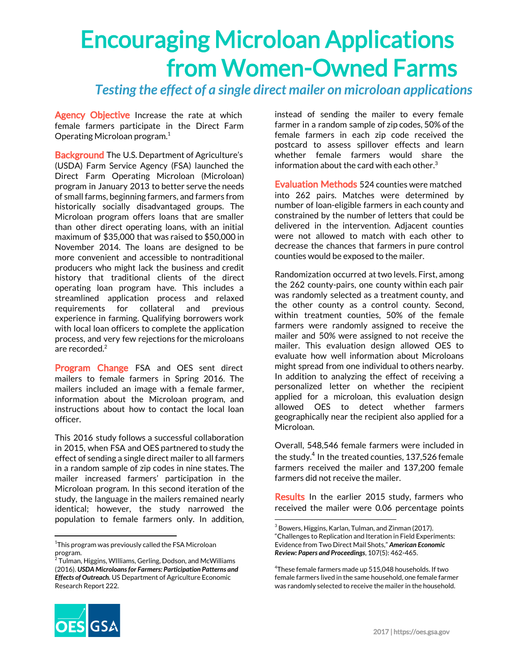## Encouraging Microloan Applications from Women-Owned Farms

*Testing the effect of a single direct mailer on microloan applications*

Agency Objective Increase the rate at which female farmers participate in the Direct Farm Operating Microloan program. 1

**Background** The U.S. Department of Agriculture's (USDA) Farm Service Agency (FSA) launched the Direct Farm Operating Microloan (Microloan) program in January 2013 to better serve the needs of small farms, beginning farmers, and farmers from historically socially disadvantaged groups. The Microloan program offers loans that are smaller than other direct operating loans, with an initial maximum of \$35,000 that was raised to \$50,000 in November 2014. The loans are designed to be more convenient and accessible to nontraditional producers who might lack the business and credit history that traditional clients of the direct operating loan program have. This includes a streamlined application process and relaxed requirements for collateral and previous experience in farming. Qualifying borrowers work with local loan officers to complete the application process, and very few rejections for the microloans are recorded. 2

Program Change FSA and OES sent direct mailers to female farmers in Spring 2016. The mailers included an image with a female farmer, information about the Microloan program, and instructions about how to contact the local loan officer.

This 2016 study follows a successful collaboration in 2015, when FSA and OES partnered to study the effect of sending a single direct mailer to all farmers in a random sample of zip codes in nine states. The mailer increased farmers' participation in the Microloan program. In this second iteration of the study, the language in the mailers remained nearly identical; however, the study narrowed the population to female farmers only. In addition,

 $^{\rm 1}$ This program was previously called the FSA Microloan program.

instead of sending the mailer to every female farmer in a random sample of zip codes, 50% of the female farmers in each zip code received the postcard to assess spillover effects and learn whether female farmers would share the information about the card with each other. 3

Evaluation Methods 524 counties were matched into 262 pairs. Matches were determined by number of loan-eligible farmers in each county and constrained by the number of letters that could be delivered in the intervention. Adjacent counties were not allowed to match with each other to decrease the chances that farmers in pure control counties would be exposed to the mailer.

Randomization occurred at two levels. First, among the 262 county-pairs, one county within each pair was randomly selected as a treatment county, and the other county as a control county. Second, within treatment counties, 50% of the female farmers were randomly assigned to receive the mailer and 50% were assigned to not receive the mailer. This evaluation design allowed OES to evaluate how well information about Microloans might spread from one individual to others nearby. In addition to analyzing the effect of receiving a personalized letter on whether the recipient applied for a microloan, this evaluation design allowed OES to detect whether farmers geographically near the recipient also applied for a Microloan.

Overall, 548,546 female farmers were included in the study. $4$  In the treated counties, 137,526 female farmers received the mailer and 137,200 female farmers did not receive the mailer.

Results In the earlier 2015 study, farmers who received the mailer were 0.06 percentage points



 $2$  Tulman, Higgins, WIlliams, Gerling, Dodson, and McWilliams (2016). *USDA Microloansfor Farmers: Participation Patterns and Effects of Outreach.* US Department of Agriculture Economic Research Report 222.

 $3$  Bowers, Higgins, Karlan, Tulman, and Zinman (2017). "Challenges to Replication and Iteration in Field Experiments: Evidence from Two Direct Mail Shots," *American Economic Review: Papers and Proceedings*, 107(5): 462-465.

 $4$ These female farmers made up 515,048 households. If two female farmers lived in the same household, one female farmer was randomly selected to receive the mailer in the household.